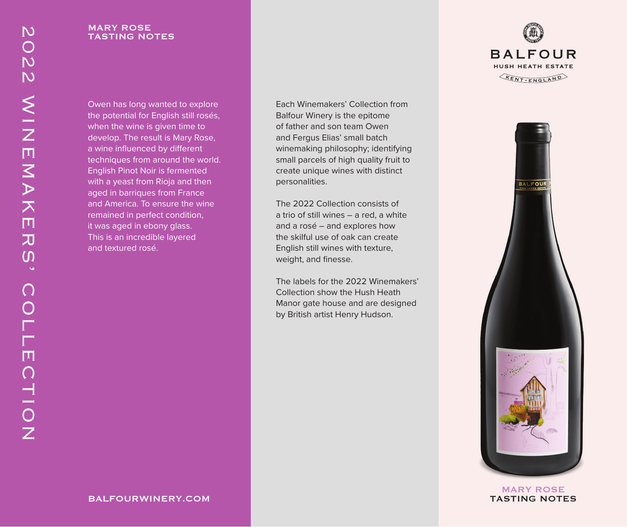#### MARY ROSE TASTING NOTES

Owen has long wanted to explore the potential for English still rosés, when the wine is given time to develop. The result is Mary Rose, a wine influenced by different techniques from around the world. English Pinot Noir is fermented with a yeast from Rioja and then aged in barriques from France and America. To ensure the wine remained in perfect condition, it was aged in ebony glass. This is an incredible layered and textured rosé.

Each Winemakers' Collection from Balfour Winery is the epitome of father and son team Owen and Fergus Elias' small batch winemaking philosophy; identifying small parcels of high quality fruit to create unique wines with distinct personalities.

The 2022 Collection consists of a trio of still wines – a red, a white and a rosé – and explores how the skilful use of oak can create English still wines with texture, weight, and finesse.

The labels for the 2022 Winemakers' Collection show the Hush Heath Manor gate house and are designed by British artist Henry Hudson.





MARY ROSE TASTING NOTES